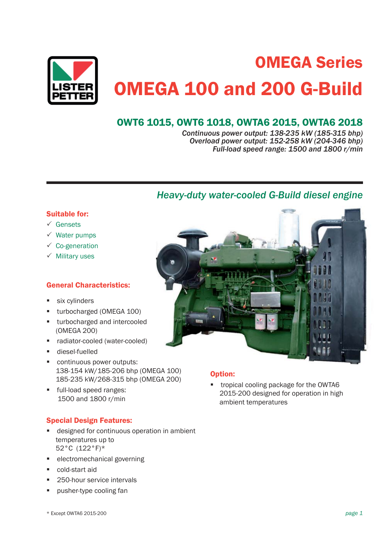

# OMEGA Series OMEGA 100 and 200 G-Build

# OWT6 1015, OWT6 1018, OWTA6 2015, OWTA6 2018

*Continuous power output: 138-235 kW (185-315 bhp) Overload power output: 152-258 kW (204-346 bhp) Full-load speed range: 1500 and 1800 r/min*

# *Heavy-duty water-cooled G-Build diesel engine*

# Suitable for:

- $\checkmark$  Gensets
- $\checkmark$  Water pumps
- $\checkmark$  Co-generation
- $\checkmark$  Military uses

# General Characteristics:

- six cylinders
- turbocharged (OMEGA 100)
- **u** turbocharged and intercooled (OMEGA 200)
- radiator-cooled (water-cooled)
- **diesel-fuelled**
- continuous power outputs: 138-154 kW/185-206 bhp (OMEGA 100) 185-235 kW/268-315 bhp (OMEGA 200)
- **full-load speed ranges:** 1500 and 1800 r/min

# Special Design Features:

- designed for continuous operation in ambient temperatures up to 52°C (122°F)\*
- electromechanical governing
- cold-start aid
- 250-hour service intervals
- pusher-type cooling fan



## Option:

 tropical cooling package for the OWTA6 2015-200 designed for operation in high ambient temperatures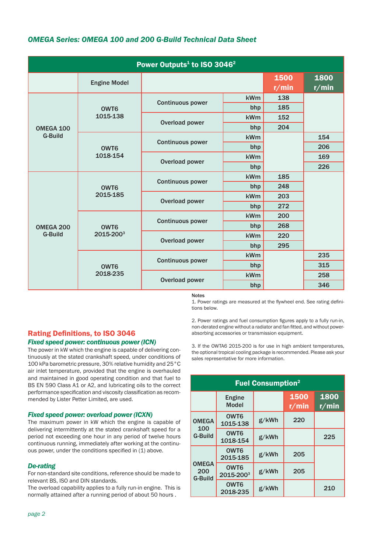# *OMEGA Series: OMEGA 100 and 200 G-Build Technical Data Sheet*

| Power Outputs <sup>1</sup> to ISO 3046 <sup>2</sup> |                               |                                |     |               |               |
|-----------------------------------------------------|-------------------------------|--------------------------------|-----|---------------|---------------|
|                                                     | <b>Engine Model</b>           |                                |     | 1500<br>r/min | 1800<br>r/min |
|                                                     | OWT <sub>6</sub><br>1015-138  | <b>Continuous power</b>        | kWm | 138           |               |
|                                                     |                               |                                | bhp | 185           |               |
|                                                     |                               | Overload power                 | kWm | 152           |               |
| OMEGA 100                                           |                               |                                | bhp | 204           |               |
| <b>G-Build</b>                                      | OWT6<br>1018-154              | <b>Continuous power</b>        | kWm |               | 154           |
|                                                     |                               |                                | bhp |               | 206           |
|                                                     |                               | <b>Overload power</b>          | kWm |               | 169           |
|                                                     |                               |                                | bhp |               | 226           |
| OMEGA 200<br><b>G-Build</b>                         | OWT6<br>2015-185              | <b>Continuous power</b>        | kWm | 185           |               |
|                                                     |                               |                                | bhp | 248           |               |
|                                                     |                               | Overload power                 | kWm | 203           |               |
|                                                     |                               |                                | bhp | 272           |               |
|                                                     | OWT <sub>6</sub><br>2015-2003 |                                | kWm | 200           |               |
|                                                     |                               | <b>Continuous power</b><br>bhp |     | 268           |               |
|                                                     |                               | Overload power                 | kWm | 220           |               |
|                                                     |                               |                                | bhp | 295           |               |
|                                                     | OWT <sub>6</sub><br>2018-235  | <b>Continuous power</b>        | kWm |               | 235           |
|                                                     |                               |                                | bhp |               | 315           |
|                                                     |                               | Overload power                 | kWm |               | 258           |
|                                                     |                               |                                | bhp |               | 346           |

#### Notes

1. Power ratings are measured at the flywheel end. See rating definitions below.

2. Power ratings and fuel consumption figures apply to a fully run-in, non-derated engine without a radiator and fan fitted, and without powerabsorbing accessories or transmission equipment.

## Rating Definitions, to ISO 3046 *Fixed speed power: continuous power (ICN)*

The power in kW which the engine is capable of delivering continuously at the stated crankshaft speed, under conditions of 100 kPa barometric pressure, 30% relative humidity and 25°C air inlet temperature, provided that the engine is overhauled and maintained in good operating condition and that fuel to BS EN 590 Class A1 or A2, and lubricating oils to the correct performance specification and viscosity classification as recommended by Lister Petter Limited, are used.

## *Fixed speed power: overload power (ICXN)*

The maximum power in kW which the engine is capable of delivering intermittently at the stated crankshaft speed for a period not exceeding one hour in any period of twelve hours continuous running, immediately after working at the continuous power, under the conditions specified in (1) above.

## *De-rating*

For non-standard site conditions, reference should be made to relevant BS, ISO and DIN standards.

The overload capability applies to a fully run-in engine. This is normally attained after a running period of about 50 hours .

3. If the OWTA6 2015-200 is for use in high ambient temperatures, the optional tropical cooling package is recommended. Please ask your sales representative for more information.

| <b>Fuel Consumption<sup>2</sup></b>   |                               |       |               |               |
|---------------------------------------|-------------------------------|-------|---------------|---------------|
|                                       | <b>Engine</b><br><b>Model</b> |       | 1500<br>r/min | 1800<br>r/min |
| <b>OMEGA</b><br>100<br><b>G-Build</b> | OWT <sub>6</sub><br>1015-138  | g/kWh | 220           |               |
|                                       | OWT <sub>6</sub><br>1018-154  | g/kWh |               | 225           |
| <b>OMEGA</b><br>200<br><b>G-Build</b> | OWT <sub>6</sub><br>2015-185  | g/kWh | 205           |               |
|                                       | OWT <sub>6</sub><br>2015-2003 | g/kWh | 205           |               |
|                                       | OWT <sub>6</sub><br>2018-235  | g/kWh |               | 210           |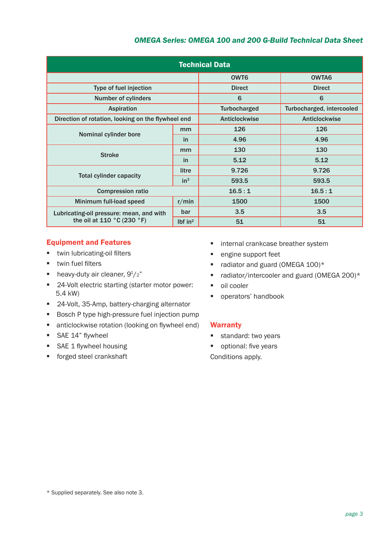# *OMEGA Series: OMEGA 100 and 200 G-Build Technical Data Sheet*

| <b>Technical Data</b>                              |                     |                     |                           |  |
|----------------------------------------------------|---------------------|---------------------|---------------------------|--|
|                                                    |                     | OWT <sub>6</sub>    | OWTA6                     |  |
| Type of fuel injection                             |                     | <b>Direct</b>       | <b>Direct</b>             |  |
| <b>Number of cylinders</b>                         |                     | 6                   | 6                         |  |
| <b>Aspiration</b>                                  |                     | <b>Turbocharged</b> | Turbocharged, intercooled |  |
| Direction of rotation, looking on the flywheel end |                     | Anticlockwise       | Anticlockwise             |  |
|                                                    | mm                  | 126                 | 126                       |  |
| Nominal cylinder bore                              | in                  | 4.96                | 4.96                      |  |
| <b>Stroke</b>                                      | mm                  | 130                 | 130                       |  |
|                                                    | <sub>in</sub>       | 5.12                | 5.12                      |  |
| <b>Total cylinder capacity</b>                     | litre               | 9.726               | 9.726                     |  |
|                                                    | in <sup>3</sup>     | 593.5               | 593.5                     |  |
| <b>Compression ratio</b>                           |                     | 16.5:1              | 16.5:1                    |  |
| Minimum full-load speed                            | r/min               | 1500                | 1500                      |  |
| Lubricating-oil pressure: mean, and with           | bar                 | 3.5                 | 3.5                       |  |
| the oil at 110 $^{\circ}$ C (230 $^{\circ}$ F)     | Ibf in <sup>2</sup> | 51                  | 51                        |  |

## Equipment and Features

- **\*** twin lubricating-oil filters
- $\blacksquare$  twin fuel filters
- heavy-duty air cleaner,  $9<sup>1</sup>/2$ "
- 24-Volt electric starting (starter motor power: 5.4 kW)
- 24-Volt, 35-Amp, battery-charging alternator
- Bosch P type high-pressure fuel injection pump
- anticlockwise rotation (looking on flywheel end)
- **SAE 14" flywheel**
- SAE 1 flywheel housing
- **forged steel crankshaft**
- **n** internal crankcase breather system
- **engine support feet**
- $\blacksquare$  radiator and guard (OMEGA 100)\*
- $\blacksquare$  radiator/intercooler and guard (OMEGA 200)\*
- oil cooler
- **•** operators' handbook

## **Warranty**

- standard: two years
- optional: five years

Conditions apply.

<sup>\*</sup> Supplied separately. See also note 3.